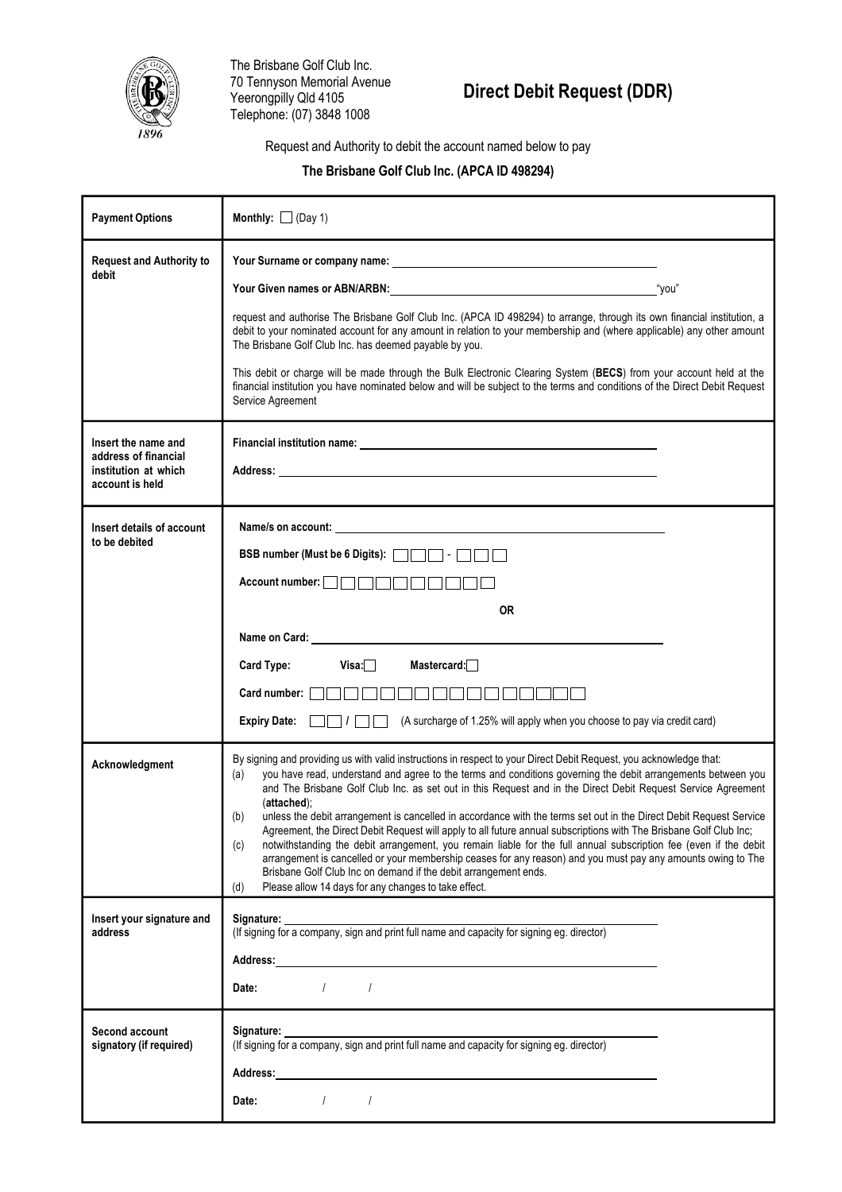

The Brisbane Golf Club Inc. 70 Tennyson Memorial Avenue Yeerongpilly Qld 4105 Telephone: (07) 3848 1008

# **Direct Debit Request (DDR)**

Request and Authority to debit the account named below to pay

## **The Brisbane Golf Club Inc. (APCA ID 498294)**

| <b>Payment Options</b>                                                                 | Monthly: $\Box$ (Day 1)                                                                                                                                                                                                                                                                                                                                                                                                                                                                                                                                                                                                                                                                                                                                                                                                                                                                                                                                                                                  |
|----------------------------------------------------------------------------------------|----------------------------------------------------------------------------------------------------------------------------------------------------------------------------------------------------------------------------------------------------------------------------------------------------------------------------------------------------------------------------------------------------------------------------------------------------------------------------------------------------------------------------------------------------------------------------------------------------------------------------------------------------------------------------------------------------------------------------------------------------------------------------------------------------------------------------------------------------------------------------------------------------------------------------------------------------------------------------------------------------------|
| <b>Request and Authority to</b><br>debit                                               | Your Given names or ABN/ARBN: view was also as a series of you" you"<br>request and authorise The Brisbane Golf Club Inc. (APCA ID 498294) to arrange, through its own financial institution, a<br>debit to your nominated account for any amount in relation to your membership and (where applicable) any other amount<br>The Brisbane Golf Club Inc. has deemed payable by you.<br>This debit or charge will be made through the Bulk Electronic Clearing System (BECS) from your account held at the<br>financial institution you have nominated below and will be subject to the terms and conditions of the Direct Debit Request<br>Service Agreement                                                                                                                                                                                                                                                                                                                                              |
| Insert the name and<br>address of financial<br>institution at which<br>account is held | Address: Note that the contract of the contract of the contract of the contract of the contract of the contract of the contract of the contract of the contract of the contract of the contract of the contract of the contrac                                                                                                                                                                                                                                                                                                                                                                                                                                                                                                                                                                                                                                                                                                                                                                           |
| Insert details of account<br>to be debited                                             | Account number: <b>Account</b> number:<br><b>OR</b><br>Visa: $\Box$<br>Mastercard: $\Box$<br><b>Card Type:</b><br>Card number:  <br><b>Expiry Date:</b><br>(A surcharge of 1.25% will apply when you choose to pay via credit card)                                                                                                                                                                                                                                                                                                                                                                                                                                                                                                                                                                                                                                                                                                                                                                      |
| Acknowledgment                                                                         | By signing and providing us with valid instructions in respect to your Direct Debit Request, you acknowledge that:<br>you have read, understand and agree to the terms and conditions governing the debit arrangements between you<br>(a)<br>and The Brisbane Golf Club Inc. as set out in this Request and in the Direct Debit Request Service Agreement<br>(attached);<br>unless the debit arrangement is cancelled in accordance with the terms set out in the Direct Debit Request Service<br>(b)<br>Agreement, the Direct Debit Request will apply to all future annual subscriptions with The Brisbane Golf Club Inc;<br>notwithstanding the debit arrangement, you remain liable for the full annual subscription fee (even if the debit<br>(c)<br>arrangement is cancelled or your membership ceases for any reason) and you must pay any amounts owing to The<br>Brisbane Golf Club Inc on demand if the debit arrangement ends.<br>Please allow 14 days for any changes to take effect.<br>(d) |
| Insert your signature and<br>address                                                   | Address: Note that the contract of the contract of the contract of the contract of the contract of the contract of the contract of the contract of the contract of the contract of the contract of the contract of the contrac<br>$\sqrt{1}$<br>Date:                                                                                                                                                                                                                                                                                                                                                                                                                                                                                                                                                                                                                                                                                                                                                    |
| Second account<br>signatory (if required)                                              | $\frac{1}{2}$ $\frac{1}{2}$<br>Date:                                                                                                                                                                                                                                                                                                                                                                                                                                                                                                                                                                                                                                                                                                                                                                                                                                                                                                                                                                     |